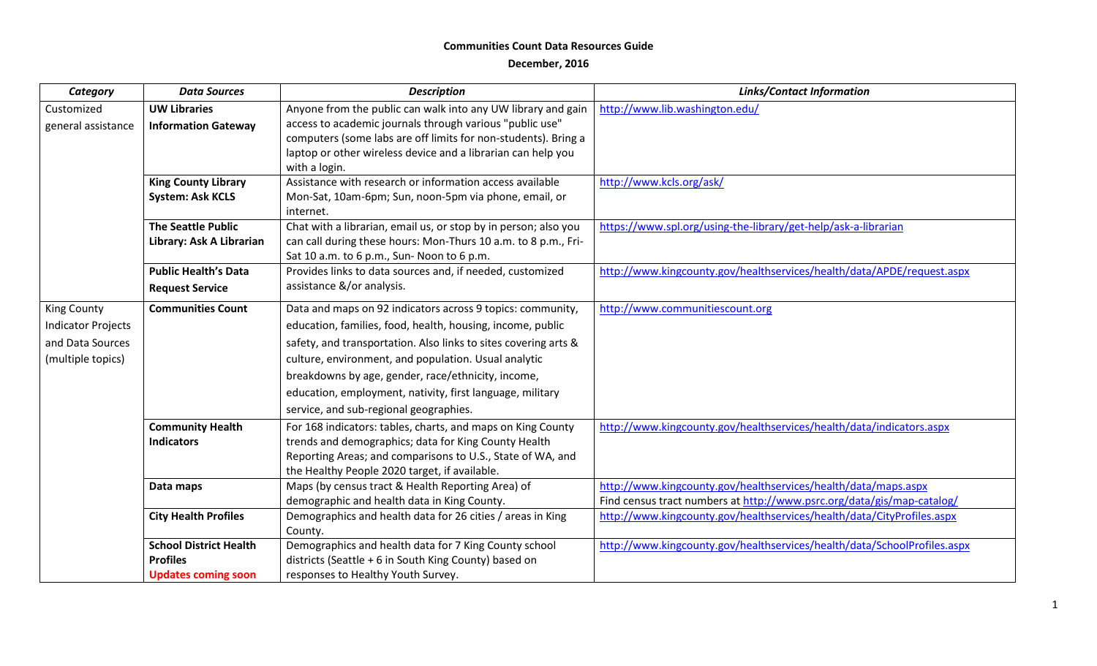## **Communities Count Data Resources Guide**

## **December, 2016**

| Category                  | <b>Data Sources</b>           | <b>Description</b>                                                 | <b>Links/Contact Information</b>                                         |
|---------------------------|-------------------------------|--------------------------------------------------------------------|--------------------------------------------------------------------------|
| Customized                | <b>UW Libraries</b>           | Anyone from the public can walk into any UW library and gain       | http://www.lib.washington.edu/                                           |
| general assistance        | <b>Information Gateway</b>    | access to academic journals through various "public use"           |                                                                          |
|                           |                               | computers (some labs are off limits for non-students). Bring a     |                                                                          |
|                           |                               | laptop or other wireless device and a librarian can help you       |                                                                          |
|                           |                               | with a login.                                                      |                                                                          |
|                           | <b>King County Library</b>    | Assistance with research or information access available           | http://www.kcls.org/ask/                                                 |
|                           | <b>System: Ask KCLS</b>       | Mon-Sat, 10am-6pm; Sun, noon-5pm via phone, email, or<br>internet. |                                                                          |
|                           | <b>The Seattle Public</b>     | Chat with a librarian, email us, or stop by in person; also you    | https://www.spl.org/using-the-library/get-help/ask-a-librarian           |
|                           | Library: Ask A Librarian      | can call during these hours: Mon-Thurs 10 a.m. to 8 p.m., Fri-     |                                                                          |
|                           |                               | Sat 10 a.m. to 6 p.m., Sun-Noon to 6 p.m.                          |                                                                          |
|                           | <b>Public Health's Data</b>   | Provides links to data sources and, if needed, customized          | http://www.kingcounty.gov/healthservices/health/data/APDE/request.aspx   |
|                           | <b>Request Service</b>        | assistance &/or analysis.                                          |                                                                          |
| <b>King County</b>        | <b>Communities Count</b>      | Data and maps on 92 indicators across 9 topics: community,         | http://www.communitiescount.org                                          |
| <b>Indicator Projects</b> |                               | education, families, food, health, housing, income, public         |                                                                          |
| and Data Sources          |                               | safety, and transportation. Also links to sites covering arts &    |                                                                          |
| (multiple topics)         |                               | culture, environment, and population. Usual analytic               |                                                                          |
|                           |                               | breakdowns by age, gender, race/ethnicity, income,                 |                                                                          |
|                           |                               | education, employment, nativity, first language, military          |                                                                          |
|                           |                               | service, and sub-regional geographies.                             |                                                                          |
|                           | <b>Community Health</b>       | For 168 indicators: tables, charts, and maps on King County        | http://www.kingcounty.gov/healthservices/health/data/indicators.aspx     |
|                           | <b>Indicators</b>             | trends and demographics; data for King County Health               |                                                                          |
|                           |                               | Reporting Areas; and comparisons to U.S., State of WA, and         |                                                                          |
|                           |                               | the Healthy People 2020 target, if available.                      |                                                                          |
|                           | Data maps                     | Maps (by census tract & Health Reporting Area) of                  | http://www.kingcounty.gov/healthservices/health/data/maps.aspx           |
|                           |                               | demographic and health data in King County.                        | Find census tract numbers at http://www.psrc.org/data/gis/map-catalog/   |
|                           | <b>City Health Profiles</b>   | Demographics and health data for 26 cities / areas in King         | http://www.kingcounty.gov/healthservices/health/data/CityProfiles.aspx   |
|                           |                               | County.                                                            |                                                                          |
|                           | <b>School District Health</b> | Demographics and health data for 7 King County school              | http://www.kingcounty.gov/healthservices/health/data/SchoolProfiles.aspx |
|                           | <b>Profiles</b>               | districts (Seattle + 6 in South King County) based on              |                                                                          |
|                           | <b>Updates coming soon</b>    | responses to Healthy Youth Survey.                                 |                                                                          |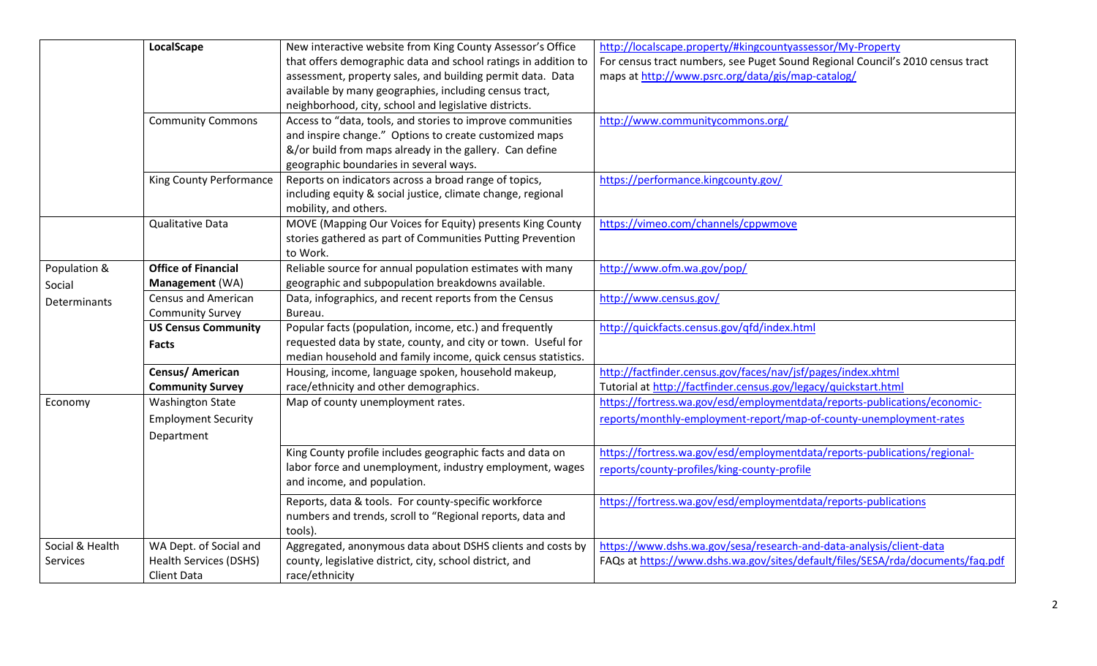|                     | LocalScape                    | New interactive website from King County Assessor's Office     | http://localscape.property/#kingcountyassessor/My-Property                     |
|---------------------|-------------------------------|----------------------------------------------------------------|--------------------------------------------------------------------------------|
|                     |                               | that offers demographic data and school ratings in addition to | For census tract numbers, see Puget Sound Regional Council's 2010 census tract |
|                     |                               | assessment, property sales, and building permit data. Data     | maps at http://www.psrc.org/data/gis/map-catalog/                              |
|                     |                               | available by many geographies, including census tract,         |                                                                                |
|                     |                               | neighborhood, city, school and legislative districts.          |                                                                                |
|                     | <b>Community Commons</b>      | Access to "data, tools, and stories to improve communities     | http://www.communitycommons.org/                                               |
|                     |                               | and inspire change." Options to create customized maps         |                                                                                |
|                     |                               | &/or build from maps already in the gallery. Can define        |                                                                                |
|                     |                               | geographic boundaries in several ways.                         |                                                                                |
|                     | King County Performance       | Reports on indicators across a broad range of topics,          | https://performance.kingcounty.gov/                                            |
|                     |                               | including equity & social justice, climate change, regional    |                                                                                |
|                     |                               | mobility, and others.                                          |                                                                                |
|                     | Qualitative Data              | MOVE (Mapping Our Voices for Equity) presents King County      | https://vimeo.com/channels/cppwmove                                            |
|                     |                               | stories gathered as part of Communities Putting Prevention     |                                                                                |
|                     |                               | to Work.                                                       |                                                                                |
| Population &        | <b>Office of Financial</b>    | Reliable source for annual population estimates with many      | http://www.ofm.wa.gov/pop/                                                     |
| Social              | Management (WA)               | geographic and subpopulation breakdowns available.             |                                                                                |
| <b>Determinants</b> | <b>Census and American</b>    | Data, infographics, and recent reports from the Census         | http://www.census.gov/                                                         |
|                     | <b>Community Survey</b>       | Bureau.                                                        |                                                                                |
|                     | <b>US Census Community</b>    | Popular facts (population, income, etc.) and frequently        | http://quickfacts.census.gov/qfd/index.html                                    |
|                     | <b>Facts</b>                  | requested data by state, county, and city or town. Useful for  |                                                                                |
|                     |                               | median household and family income, quick census statistics.   |                                                                                |
|                     | Census/ American              | Housing, income, language spoken, household makeup,            | http://factfinder.census.gov/faces/nav/jsf/pages/index.xhtml                   |
|                     | <b>Community Survey</b>       | race/ethnicity and other demographics.                         | Tutorial at http://factfinder.census.gov/legacy/quickstart.html                |
| Economy             | <b>Washington State</b>       | Map of county unemployment rates.                              | https://fortress.wa.gov/esd/employmentdata/reports-publications/economic-      |
|                     | <b>Employment Security</b>    |                                                                | reports/monthly-employment-report/map-of-county-unemployment-rates             |
|                     | Department                    |                                                                |                                                                                |
|                     |                               | King County profile includes geographic facts and data on      | https://fortress.wa.gov/esd/employmentdata/reports-publications/regional-      |
|                     |                               | labor force and unemployment, industry employment, wages       | reports/county-profiles/king-county-profile                                    |
|                     |                               | and income, and population.                                    |                                                                                |
|                     |                               | Reports, data & tools. For county-specific workforce           | https://fortress.wa.gov/esd/employmentdata/reports-publications                |
|                     |                               | numbers and trends, scroll to "Regional reports, data and      |                                                                                |
|                     |                               | tools).                                                        |                                                                                |
| Social & Health     | WA Dept. of Social and        | Aggregated, anonymous data about DSHS clients and costs by     | https://www.dshs.wa.gov/sesa/research-and-data-analysis/client-data            |
| <b>Services</b>     | <b>Health Services (DSHS)</b> | county, legislative district, city, school district, and       | FAQs at https://www.dshs.wa.gov/sites/default/files/SESA/rda/documents/faq.pdf |
|                     | <b>Client Data</b>            | race/ethnicity                                                 |                                                                                |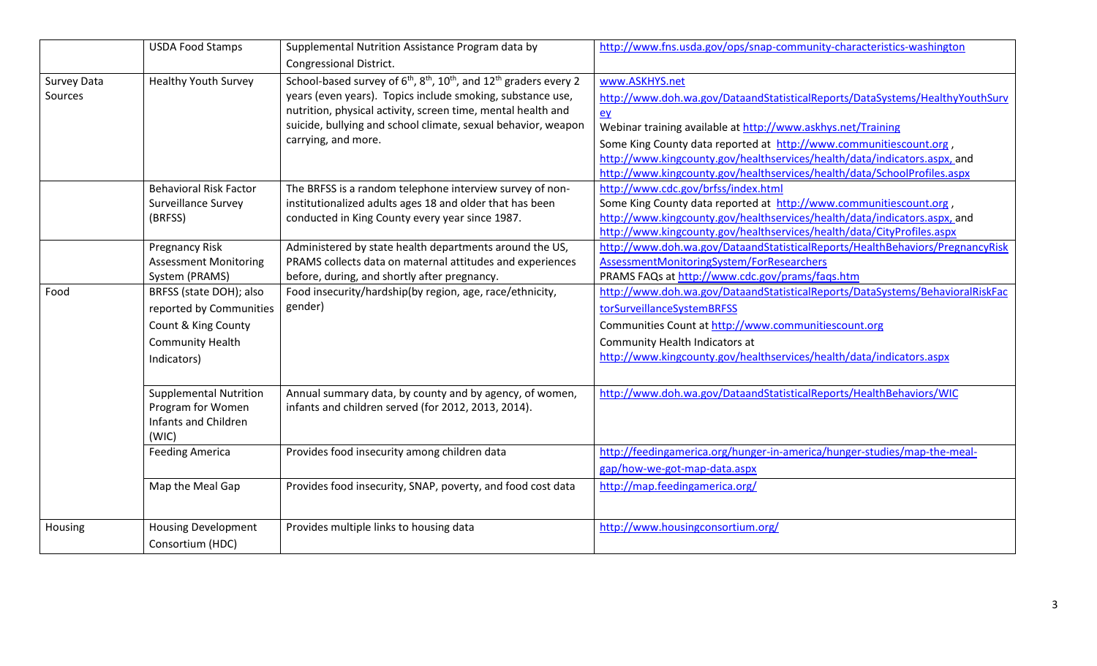|                               | <b>USDA Food Stamps</b>                                                                                             | Supplemental Nutrition Assistance Program data by<br>Congressional District.                                                                                                                                                                                                                     | http://www.fns.usda.gov/ops/snap-community-characteristics-washington                                                                                                                                                                                                                                                                                                                                 |
|-------------------------------|---------------------------------------------------------------------------------------------------------------------|--------------------------------------------------------------------------------------------------------------------------------------------------------------------------------------------------------------------------------------------------------------------------------------------------|-------------------------------------------------------------------------------------------------------------------------------------------------------------------------------------------------------------------------------------------------------------------------------------------------------------------------------------------------------------------------------------------------------|
| <b>Survey Data</b><br>Sources | <b>Healthy Youth Survey</b>                                                                                         | School-based survey of $6th$ , $8th$ , $10th$ , and $12th$ graders every 2<br>years (even years). Topics include smoking, substance use,<br>nutrition, physical activity, screen time, mental health and<br>suicide, bullying and school climate, sexual behavior, weapon<br>carrying, and more. | www.ASKHYS.net<br>http://www.doh.wa.gov/DataandStatisticalReports/DataSystems/HealthyYouthSurv<br>$ey$<br>Webinar training available at http://www.askhys.net/Training<br>Some King County data reported at http://www.communitiescount.org,<br>http://www.kingcounty.gov/healthservices/health/data/indicators.aspx, and<br>http://www.kingcounty.gov/healthservices/health/data/SchoolProfiles.aspx |
|                               | <b>Behavioral Risk Factor</b><br>Surveillance Survey<br>(BRFSS)                                                     | The BRFSS is a random telephone interview survey of non-<br>institutionalized adults ages 18 and older that has been<br>conducted in King County every year since 1987.                                                                                                                          | http://www.cdc.gov/brfss/index.html<br>Some King County data reported at http://www.communitiescount.org,<br>http://www.kingcounty.gov/healthservices/health/data/indicators.aspx, and<br>http://www.kingcounty.gov/healthservices/health/data/CityProfiles.aspx                                                                                                                                      |
|                               | <b>Pregnancy Risk</b><br><b>Assessment Monitoring</b><br>System (PRAMS)                                             | Administered by state health departments around the US,<br>PRAMS collects data on maternal attitudes and experiences<br>before, during, and shortly after pregnancy.                                                                                                                             | http://www.doh.wa.gov/DataandStatisticalReports/HealthBehaviors/PregnancyRisk<br>AssessmentMonitoringSystem/ForResearchers<br>PRAMS FAQs at http://www.cdc.gov/prams/faqs.htm                                                                                                                                                                                                                         |
| Food                          | BRFSS (state DOH); also<br>reported by Communities<br>Count & King County<br><b>Community Health</b><br>Indicators) | Food insecurity/hardship(by region, age, race/ethnicity,<br>gender)                                                                                                                                                                                                                              | http://www.doh.wa.gov/DataandStatisticalReports/DataSystems/BehavioralRiskFac<br>torSurveillanceSystemBRFSS<br>Communities Count at http://www.communitiescount.org<br>Community Health Indicators at<br>http://www.kingcounty.gov/healthservices/health/data/indicators.aspx                                                                                                                         |
|                               | <b>Supplemental Nutrition</b><br>Program for Women<br>Infants and Children<br>(WIC)                                 | Annual summary data, by county and by agency, of women,<br>infants and children served (for 2012, 2013, 2014).                                                                                                                                                                                   | http://www.doh.wa.gov/DataandStatisticalReports/HealthBehaviors/WIC                                                                                                                                                                                                                                                                                                                                   |
|                               | <b>Feeding America</b>                                                                                              | Provides food insecurity among children data                                                                                                                                                                                                                                                     | http://feedingamerica.org/hunger-in-america/hunger-studies/map-the-meal-<br>gap/how-we-got-map-data.aspx                                                                                                                                                                                                                                                                                              |
|                               | Map the Meal Gap                                                                                                    | Provides food insecurity, SNAP, poverty, and food cost data                                                                                                                                                                                                                                      | http://map.feedingamerica.org/                                                                                                                                                                                                                                                                                                                                                                        |
| Housing                       | <b>Housing Development</b><br>Consortium (HDC)                                                                      | Provides multiple links to housing data                                                                                                                                                                                                                                                          | http://www.housingconsortium.org/                                                                                                                                                                                                                                                                                                                                                                     |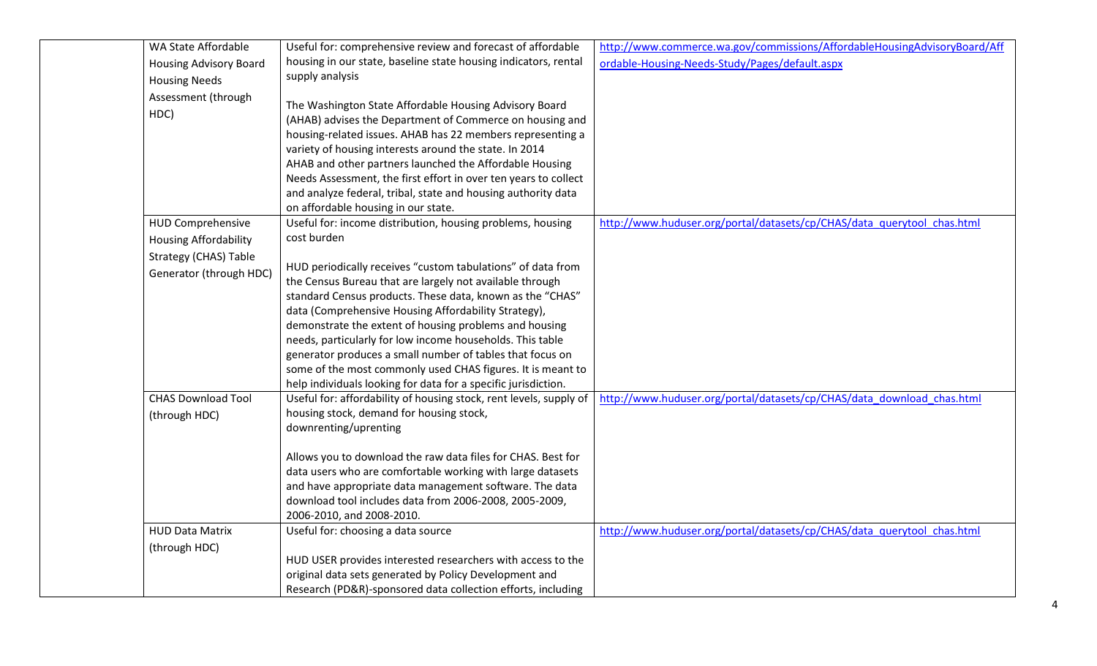| WA State Affordable           | Useful for: comprehensive review and forecast of affordable                                                                                                                                                                                                                                                                                                                                                                                                                      | http://www.commerce.wa.gov/commissions/AffordableHousingAdvisoryBoard/Aff |
|-------------------------------|----------------------------------------------------------------------------------------------------------------------------------------------------------------------------------------------------------------------------------------------------------------------------------------------------------------------------------------------------------------------------------------------------------------------------------------------------------------------------------|---------------------------------------------------------------------------|
| <b>Housing Advisory Board</b> | housing in our state, baseline state housing indicators, rental                                                                                                                                                                                                                                                                                                                                                                                                                  | ordable-Housing-Needs-Study/Pages/default.aspx                            |
| <b>Housing Needs</b>          | supply analysis                                                                                                                                                                                                                                                                                                                                                                                                                                                                  |                                                                           |
| Assessment (through<br>HDC)   | The Washington State Affordable Housing Advisory Board<br>(AHAB) advises the Department of Commerce on housing and<br>housing-related issues. AHAB has 22 members representing a<br>variety of housing interests around the state. In 2014<br>AHAB and other partners launched the Affordable Housing<br>Needs Assessment, the first effort in over ten years to collect<br>and analyze federal, tribal, state and housing authority data<br>on affordable housing in our state. |                                                                           |
| <b>HUD Comprehensive</b>      | Useful for: income distribution, housing problems, housing                                                                                                                                                                                                                                                                                                                                                                                                                       | http://www.huduser.org/portal/datasets/cp/CHAS/data querytool chas.html   |
| <b>Housing Affordability</b>  | cost burden                                                                                                                                                                                                                                                                                                                                                                                                                                                                      |                                                                           |
| Strategy (CHAS) Table         |                                                                                                                                                                                                                                                                                                                                                                                                                                                                                  |                                                                           |
| Generator (through HDC)       | HUD periodically receives "custom tabulations" of data from                                                                                                                                                                                                                                                                                                                                                                                                                      |                                                                           |
|                               | the Census Bureau that are largely not available through                                                                                                                                                                                                                                                                                                                                                                                                                         |                                                                           |
|                               | standard Census products. These data, known as the "CHAS"                                                                                                                                                                                                                                                                                                                                                                                                                        |                                                                           |
|                               | data (Comprehensive Housing Affordability Strategy),                                                                                                                                                                                                                                                                                                                                                                                                                             |                                                                           |
|                               | demonstrate the extent of housing problems and housing                                                                                                                                                                                                                                                                                                                                                                                                                           |                                                                           |
|                               | needs, particularly for low income households. This table<br>generator produces a small number of tables that focus on                                                                                                                                                                                                                                                                                                                                                           |                                                                           |
|                               | some of the most commonly used CHAS figures. It is meant to                                                                                                                                                                                                                                                                                                                                                                                                                      |                                                                           |
|                               | help individuals looking for data for a specific jurisdiction.                                                                                                                                                                                                                                                                                                                                                                                                                   |                                                                           |
| <b>CHAS Download Tool</b>     | Useful for: affordability of housing stock, rent levels, supply of                                                                                                                                                                                                                                                                                                                                                                                                               | http://www.huduser.org/portal/datasets/cp/CHAS/data_download_chas.html    |
| (through HDC)                 | housing stock, demand for housing stock,                                                                                                                                                                                                                                                                                                                                                                                                                                         |                                                                           |
|                               | downrenting/uprenting                                                                                                                                                                                                                                                                                                                                                                                                                                                            |                                                                           |
|                               | Allows you to download the raw data files for CHAS. Best for<br>data users who are comfortable working with large datasets<br>and have appropriate data management software. The data<br>download tool includes data from 2006-2008, 2005-2009,                                                                                                                                                                                                                                  |                                                                           |
|                               | 2006-2010, and 2008-2010.                                                                                                                                                                                                                                                                                                                                                                                                                                                        |                                                                           |
| <b>HUD Data Matrix</b>        | Useful for: choosing a data source                                                                                                                                                                                                                                                                                                                                                                                                                                               | http://www.huduser.org/portal/datasets/cp/CHAS/data querytool chas.html   |
| (through HDC)                 |                                                                                                                                                                                                                                                                                                                                                                                                                                                                                  |                                                                           |
|                               | HUD USER provides interested researchers with access to the                                                                                                                                                                                                                                                                                                                                                                                                                      |                                                                           |
|                               | original data sets generated by Policy Development and                                                                                                                                                                                                                                                                                                                                                                                                                           |                                                                           |
|                               | Research (PD&R)-sponsored data collection efforts, including                                                                                                                                                                                                                                                                                                                                                                                                                     |                                                                           |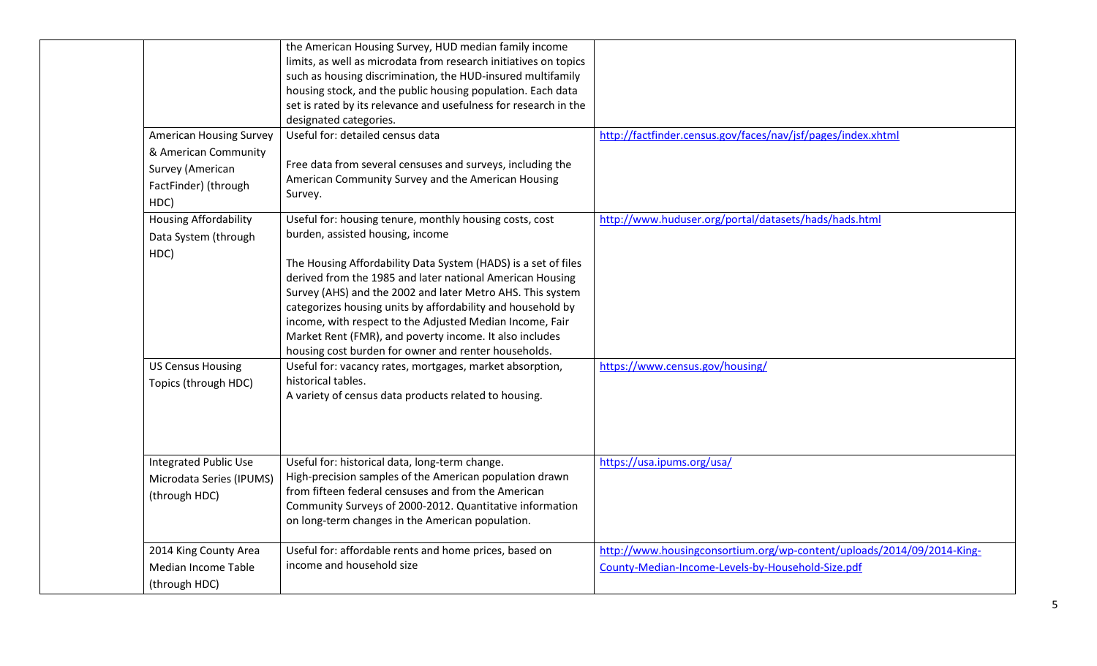|                                                                                  | the American Housing Survey, HUD median family income<br>limits, as well as microdata from research initiatives on topics<br>such as housing discrimination, the HUD-insured multifamily<br>housing stock, and the public housing population. Each data<br>set is rated by its relevance and usefulness for research in the<br>designated categories.                                                                                                                                                                                                                              |                                                                                                                             |
|----------------------------------------------------------------------------------|------------------------------------------------------------------------------------------------------------------------------------------------------------------------------------------------------------------------------------------------------------------------------------------------------------------------------------------------------------------------------------------------------------------------------------------------------------------------------------------------------------------------------------------------------------------------------------|-----------------------------------------------------------------------------------------------------------------------------|
| <b>American Housing Survey</b>                                                   | Useful for: detailed census data                                                                                                                                                                                                                                                                                                                                                                                                                                                                                                                                                   | http://factfinder.census.gov/faces/nav/jsf/pages/index.xhtml                                                                |
| & American Community<br>Survey (American                                         | Free data from several censuses and surveys, including the                                                                                                                                                                                                                                                                                                                                                                                                                                                                                                                         |                                                                                                                             |
| FactFinder) (through<br>HDC)                                                     | American Community Survey and the American Housing<br>Survey.                                                                                                                                                                                                                                                                                                                                                                                                                                                                                                                      |                                                                                                                             |
| <b>Housing Affordability</b>                                                     | Useful for: housing tenure, monthly housing costs, cost<br>burden, assisted housing, income                                                                                                                                                                                                                                                                                                                                                                                                                                                                                        | http://www.huduser.org/portal/datasets/hads/hads.html                                                                       |
| Data System (through<br>HDC)<br><b>US Census Housing</b><br>Topics (through HDC) | The Housing Affordability Data System (HADS) is a set of files<br>derived from the 1985 and later national American Housing<br>Survey (AHS) and the 2002 and later Metro AHS. This system<br>categorizes housing units by affordability and household by<br>income, with respect to the Adjusted Median Income, Fair<br>Market Rent (FMR), and poverty income. It also includes<br>housing cost burden for owner and renter households.<br>Useful for: vacancy rates, mortgages, market absorption,<br>historical tables.<br>A variety of census data products related to housing. | https://www.census.gov/housing/                                                                                             |
| <b>Integrated Public Use</b><br>Microdata Series (IPUMS)<br>(through HDC)        | Useful for: historical data, long-term change.<br>High-precision samples of the American population drawn<br>from fifteen federal censuses and from the American<br>Community Surveys of 2000-2012. Quantitative information<br>on long-term changes in the American population.                                                                                                                                                                                                                                                                                                   | https://usa.ipums.org/usa/                                                                                                  |
| 2014 King County Area<br>Median Income Table<br>(through HDC)                    | Useful for: affordable rents and home prices, based on<br>income and household size                                                                                                                                                                                                                                                                                                                                                                                                                                                                                                | http://www.housingconsortium.org/wp-content/uploads/2014/09/2014-King-<br>County-Median-Income-Levels-by-Household-Size.pdf |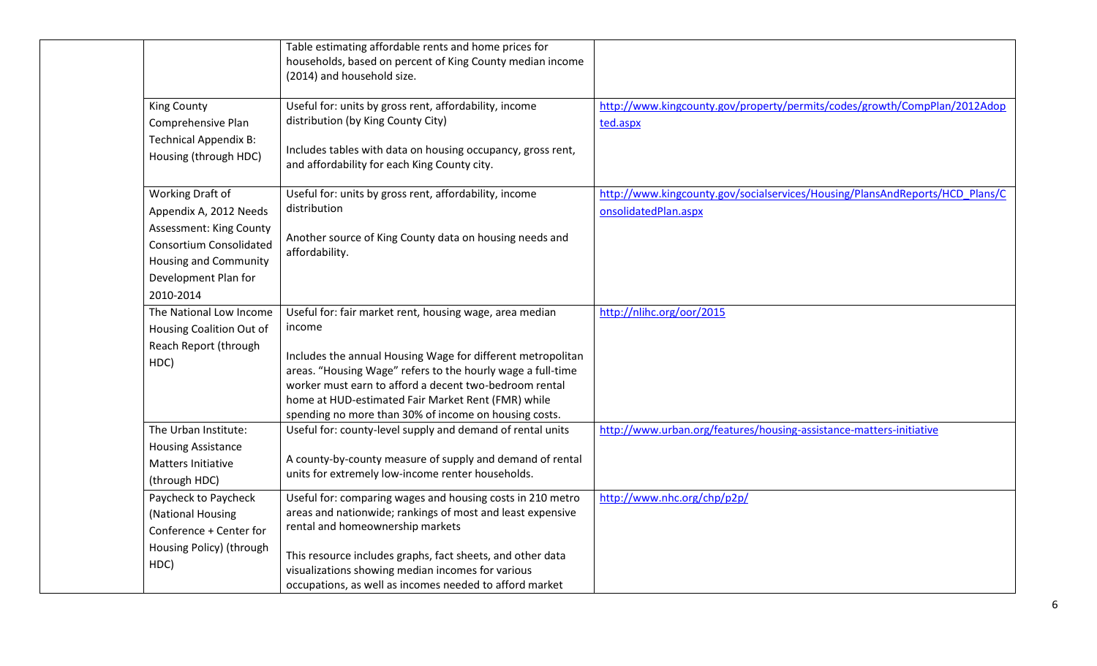|                                                                                           | Table estimating affordable rents and home prices for<br>households, based on percent of King County median income<br>(2014) and household size.                                                                                                                                                    |                                                                                       |
|-------------------------------------------------------------------------------------------|-----------------------------------------------------------------------------------------------------------------------------------------------------------------------------------------------------------------------------------------------------------------------------------------------------|---------------------------------------------------------------------------------------|
| <b>King County</b><br>Comprehensive Plan                                                  | Useful for: units by gross rent, affordability, income<br>distribution (by King County City)                                                                                                                                                                                                        | http://www.kingcounty.gov/property/permits/codes/growth/CompPlan/2012Adop<br>ted.aspx |
| <b>Technical Appendix B:</b><br>Housing (through HDC)                                     | Includes tables with data on housing occupancy, gross rent,<br>and affordability for each King County city.                                                                                                                                                                                         |                                                                                       |
| Working Draft of                                                                          | Useful for: units by gross rent, affordability, income                                                                                                                                                                                                                                              | http://www.kingcounty.gov/socialservices/Housing/PlansAndReports/HCD_Plans/C          |
| Appendix A, 2012 Needs                                                                    | distribution                                                                                                                                                                                                                                                                                        | onsolidatedPlan.aspx                                                                  |
| Assessment: King County<br><b>Consortium Consolidated</b><br><b>Housing and Community</b> | Another source of King County data on housing needs and<br>affordability.                                                                                                                                                                                                                           |                                                                                       |
| Development Plan for                                                                      |                                                                                                                                                                                                                                                                                                     |                                                                                       |
| 2010-2014                                                                                 |                                                                                                                                                                                                                                                                                                     |                                                                                       |
| The National Low Income                                                                   | Useful for: fair market rent, housing wage, area median                                                                                                                                                                                                                                             | http://nlihc.org/oor/2015                                                             |
| Housing Coalition Out of                                                                  | income                                                                                                                                                                                                                                                                                              |                                                                                       |
| Reach Report (through<br>HDC)                                                             | Includes the annual Housing Wage for different metropolitan<br>areas. "Housing Wage" refers to the hourly wage a full-time<br>worker must earn to afford a decent two-bedroom rental<br>home at HUD-estimated Fair Market Rent (FMR) while<br>spending no more than 30% of income on housing costs. |                                                                                       |
| The Urban Institute:                                                                      | Useful for: county-level supply and demand of rental units                                                                                                                                                                                                                                          | http://www.urban.org/features/housing-assistance-matters-initiative                   |
| <b>Housing Assistance</b>                                                                 |                                                                                                                                                                                                                                                                                                     |                                                                                       |
| Matters Initiative                                                                        | A county-by-county measure of supply and demand of rental<br>units for extremely low-income renter households.                                                                                                                                                                                      |                                                                                       |
| (through HDC)                                                                             |                                                                                                                                                                                                                                                                                                     |                                                                                       |
| Paycheck to Paycheck                                                                      | Useful for: comparing wages and housing costs in 210 metro                                                                                                                                                                                                                                          | http://www.nhc.org/chp/p2p/                                                           |
| (National Housing                                                                         | areas and nationwide; rankings of most and least expensive                                                                                                                                                                                                                                          |                                                                                       |
| Conference + Center for                                                                   | rental and homeownership markets                                                                                                                                                                                                                                                                    |                                                                                       |
| Housing Policy) (through<br>HDC)                                                          | This resource includes graphs, fact sheets, and other data<br>visualizations showing median incomes for various<br>occupations, as well as incomes needed to afford market                                                                                                                          |                                                                                       |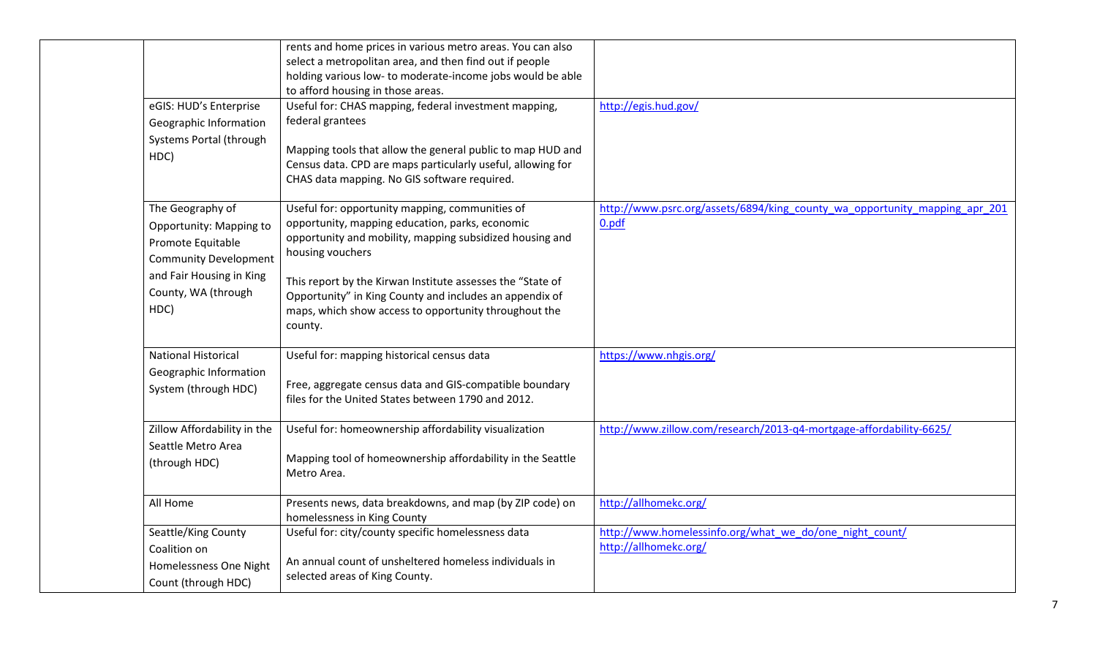|                              | rents and home prices in various metro areas. You can also                                                                |                                                                            |
|------------------------------|---------------------------------------------------------------------------------------------------------------------------|----------------------------------------------------------------------------|
|                              | select a metropolitan area, and then find out if people                                                                   |                                                                            |
|                              | holding various low- to moderate-income jobs would be able                                                                |                                                                            |
|                              | to afford housing in those areas.                                                                                         |                                                                            |
| eGIS: HUD's Enterprise       | Useful for: CHAS mapping, federal investment mapping,                                                                     | http://egis.hud.gov/                                                       |
| Geographic Information       | federal grantees                                                                                                          |                                                                            |
| Systems Portal (through      |                                                                                                                           |                                                                            |
| HDC)                         | Mapping tools that allow the general public to map HUD and<br>Census data. CPD are maps particularly useful, allowing for |                                                                            |
|                              | CHAS data mapping. No GIS software required.                                                                              |                                                                            |
|                              |                                                                                                                           |                                                                            |
| The Geography of             | Useful for: opportunity mapping, communities of                                                                           | http://www.psrc.org/assets/6894/king_county_wa_opportunity_mapping_apr_201 |
| Opportunity: Mapping to      | opportunity, mapping education, parks, economic                                                                           | 0.pdf                                                                      |
| Promote Equitable            | opportunity and mobility, mapping subsidized housing and                                                                  |                                                                            |
| <b>Community Development</b> | housing vouchers                                                                                                          |                                                                            |
| and Fair Housing in King     | This report by the Kirwan Institute assesses the "State of                                                                |                                                                            |
| County, WA (through          | Opportunity" in King County and includes an appendix of                                                                   |                                                                            |
| HDC)                         | maps, which show access to opportunity throughout the                                                                     |                                                                            |
|                              | county.                                                                                                                   |                                                                            |
|                              |                                                                                                                           |                                                                            |
| <b>National Historical</b>   | Useful for: mapping historical census data                                                                                | https://www.nhgis.org/                                                     |
| Geographic Information       |                                                                                                                           |                                                                            |
| System (through HDC)         | Free, aggregate census data and GIS-compatible boundary                                                                   |                                                                            |
|                              | files for the United States between 1790 and 2012.                                                                        |                                                                            |
| Zillow Affordability in the  | Useful for: homeownership affordability visualization                                                                     | http://www.zillow.com/research/2013-q4-mortgage-affordability-6625/        |
| Seattle Metro Area           |                                                                                                                           |                                                                            |
| (through HDC)                | Mapping tool of homeownership affordability in the Seattle                                                                |                                                                            |
|                              | Metro Area.                                                                                                               |                                                                            |
| All Home                     | Presents news, data breakdowns, and map (by ZIP code) on                                                                  | http://allhomekc.org/                                                      |
|                              | homelessness in King County                                                                                               |                                                                            |
| Seattle/King County          | Useful for: city/county specific homelessness data                                                                        | http://www.homelessinfo.org/what we do/one night count/                    |
| Coalition on                 |                                                                                                                           | http://allhomekc.org/                                                      |
| Homelessness One Night       | An annual count of unsheltered homeless individuals in                                                                    |                                                                            |
| Count (through HDC)          | selected areas of King County.                                                                                            |                                                                            |
|                              |                                                                                                                           |                                                                            |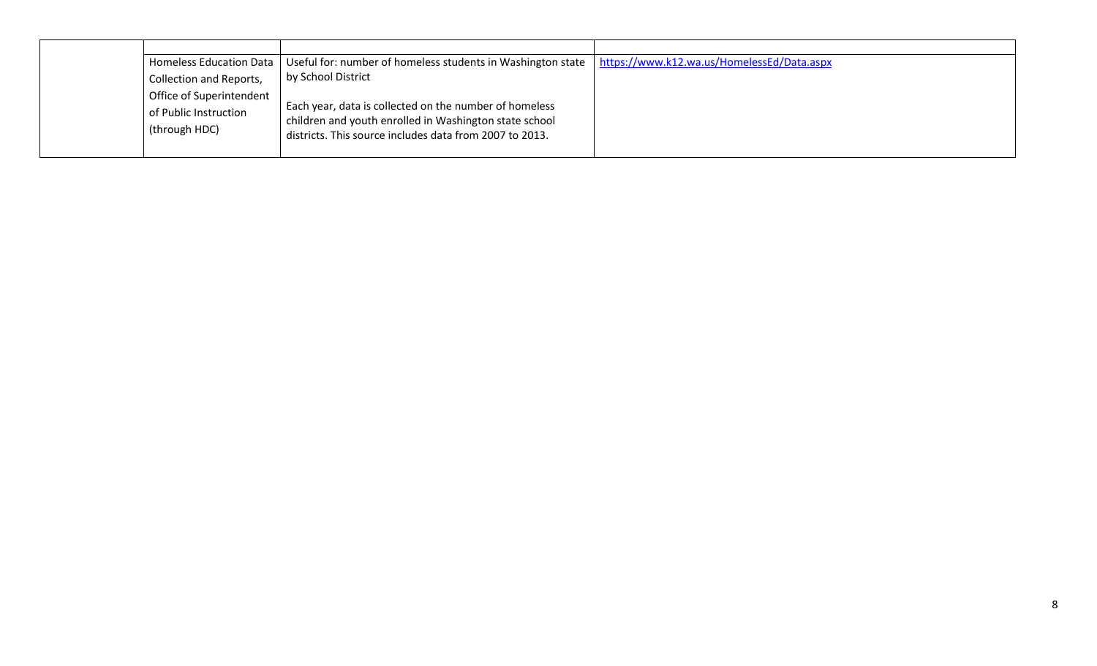| <b>Homeless Education Data</b>                                     | Useful for: number of homeless students in Washington state                                                                                                                 | https://www.k12.wa.us/HomelessEd/Data.aspx |
|--------------------------------------------------------------------|-----------------------------------------------------------------------------------------------------------------------------------------------------------------------------|--------------------------------------------|
| <b>Collection and Reports,</b>                                     | by School District                                                                                                                                                          |                                            |
| Office of Superintendent<br>of Public Instruction<br>(through HDC) | Each year, data is collected on the number of homeless<br>children and youth enrolled in Washington state school<br>districts. This source includes data from 2007 to 2013. |                                            |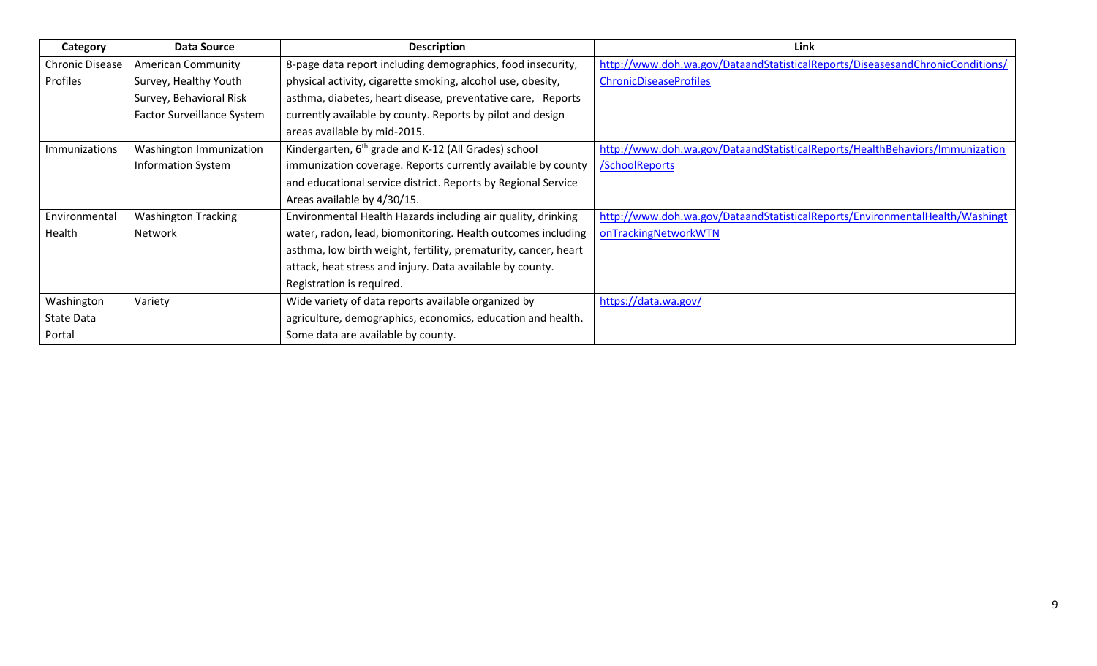| Category               | <b>Data Source</b>         | <b>Description</b>                                               | Link                                                                          |
|------------------------|----------------------------|------------------------------------------------------------------|-------------------------------------------------------------------------------|
| <b>Chronic Disease</b> | <b>American Community</b>  | 8-page data report including demographics, food insecurity,      | http://www.doh.wa.gov/DataandStatisticalReports/DiseasesandChronicConditions/ |
| Profiles               | Survey, Healthy Youth      | physical activity, cigarette smoking, alcohol use, obesity,      | <b>ChronicDiseaseProfiles</b>                                                 |
|                        | Survey, Behavioral Risk    | asthma, diabetes, heart disease, preventative care, Reports      |                                                                               |
|                        | Factor Surveillance System | currently available by county. Reports by pilot and design       |                                                                               |
|                        |                            | areas available by mid-2015.                                     |                                                                               |
| Immunizations          | Washington Immunization    | Kindergarten, 6 <sup>th</sup> grade and K-12 (All Grades) school | http://www.doh.wa.gov/DataandStatisticalReports/HealthBehaviors/Immunization  |
|                        | <b>Information System</b>  | immunization coverage. Reports currently available by county     | /SchoolReports                                                                |
|                        |                            | and educational service district. Reports by Regional Service    |                                                                               |
|                        |                            | Areas available by 4/30/15.                                      |                                                                               |
| Environmental          | <b>Washington Tracking</b> | Environmental Health Hazards including air quality, drinking     | http://www.doh.wa.gov/DataandStatisticalReports/EnvironmentalHealth/Washingt  |
| Health                 | Network                    | water, radon, lead, biomonitoring. Health outcomes including     | onTrackingNetworkWTN                                                          |
|                        |                            | asthma, low birth weight, fertility, prematurity, cancer, heart  |                                                                               |
|                        |                            | attack, heat stress and injury. Data available by county.        |                                                                               |
|                        |                            | Registration is required.                                        |                                                                               |
| Washington             | Variety                    | Wide variety of data reports available organized by              | https://data.wa.gov/                                                          |
| State Data             |                            | agriculture, demographics, economics, education and health.      |                                                                               |
| Portal                 |                            | Some data are available by county.                               |                                                                               |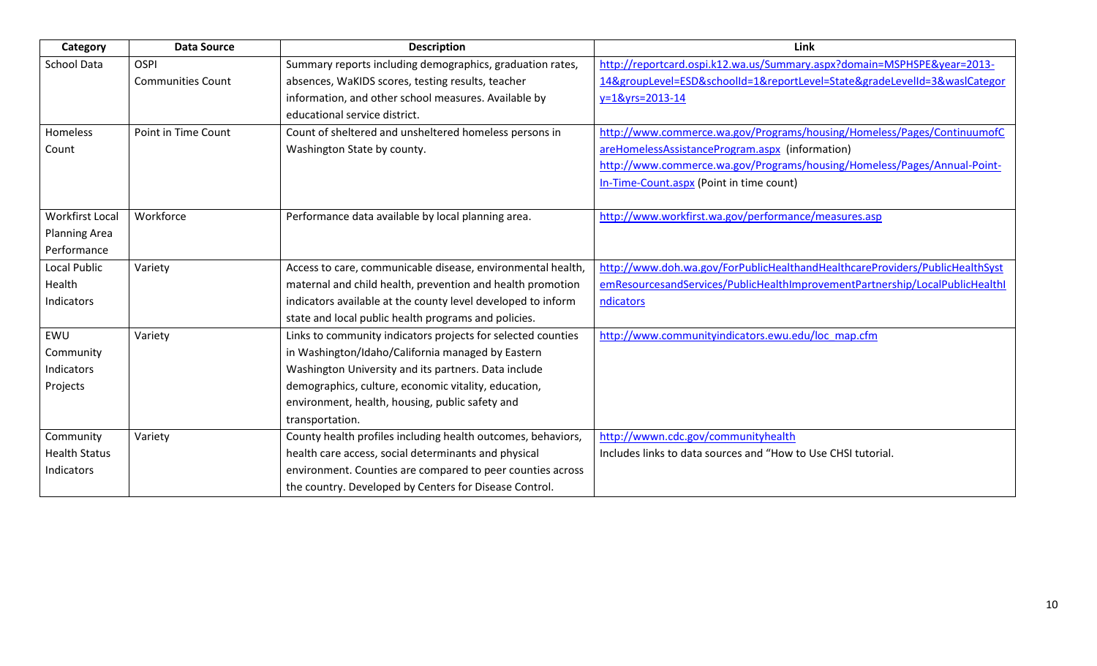| Category               | <b>Data Source</b>       | <b>Description</b>                                           | Link                                                                         |
|------------------------|--------------------------|--------------------------------------------------------------|------------------------------------------------------------------------------|
| <b>School Data</b>     | <b>OSPI</b>              | Summary reports including demographics, graduation rates,    | http://reportcard.ospi.k12.wa.us/Summary.aspx?domain=MSPHSPE&year=2013-      |
|                        | <b>Communities Count</b> | absences, WaKIDS scores, testing results, teacher            | 14&groupLevel=ESD&schoolId=1&reportLevel=State&gradeLevelId=3&wasICategor    |
|                        |                          | information, and other school measures. Available by         | y=1&yrs=2013-14                                                              |
|                        |                          | educational service district.                                |                                                                              |
| Homeless               | Point in Time Count      | Count of sheltered and unsheltered homeless persons in       | http://www.commerce.wa.gov/Programs/housing/Homeless/Pages/ContinuumofC      |
| Count                  |                          | Washington State by county.                                  | areHomelessAssistanceProgram.aspx (information)                              |
|                        |                          |                                                              | http://www.commerce.wa.gov/Programs/housing/Homeless/Pages/Annual-Point-     |
|                        |                          |                                                              | In-Time-Count.aspx (Point in time count)                                     |
|                        |                          |                                                              |                                                                              |
| <b>Workfirst Local</b> | Workforce                | Performance data available by local planning area.           | http://www.workfirst.wa.gov/performance/measures.asp                         |
| <b>Planning Area</b>   |                          |                                                              |                                                                              |
| Performance            |                          |                                                              |                                                                              |
| Local Public           | Variety                  | Access to care, communicable disease, environmental health,  | http://www.doh.wa.gov/ForPublicHealthandHealthcareProviders/PublicHealthSyst |
| Health                 |                          | maternal and child health, prevention and health promotion   | emResourcesandServices/PublicHealthImprovementPartnership/LocalPublicHealthI |
| Indicators             |                          | indicators available at the county level developed to inform | ndicators                                                                    |
|                        |                          | state and local public health programs and policies.         |                                                                              |
| EWU                    | Variety                  | Links to community indicators projects for selected counties | http://www.communityindicators.ewu.edu/loc map.cfm                           |
| Community              |                          | in Washington/Idaho/California managed by Eastern            |                                                                              |
| Indicators             |                          | Washington University and its partners. Data include         |                                                                              |
| Projects               |                          | demographics, culture, economic vitality, education,         |                                                                              |
|                        |                          | environment, health, housing, public safety and              |                                                                              |
|                        |                          | transportation.                                              |                                                                              |
| Community              | Variety                  | County health profiles including health outcomes, behaviors, | http://wwwn.cdc.gov/communityhealth                                          |
| <b>Health Status</b>   |                          | health care access, social determinants and physical         | Includes links to data sources and "How to Use CHSI tutorial.                |
| Indicators             |                          | environment. Counties are compared to peer counties across   |                                                                              |
|                        |                          | the country. Developed by Centers for Disease Control.       |                                                                              |